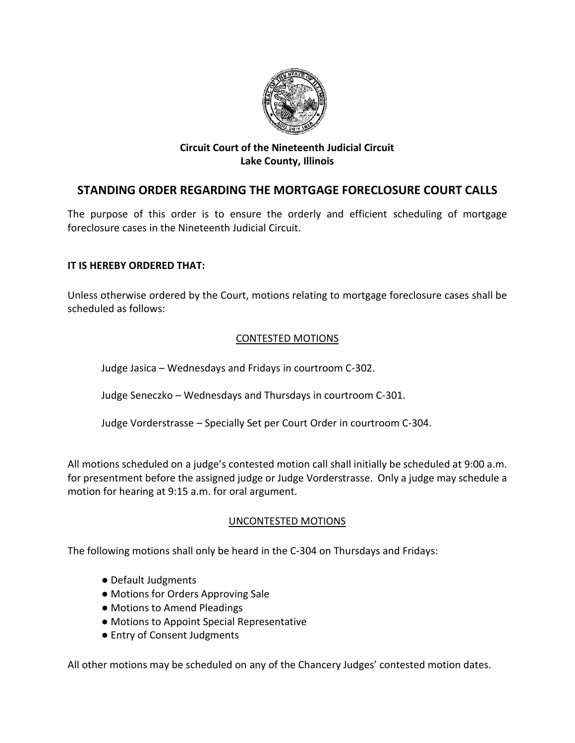

# **Circuit Court of the Nineteenth Judicial Circuit Lake County, Illinois**

# **STANDING ORDER REGARDING THE MORTGAGE FORECLOSURE COURT CALLS**

The purpose of this order is to ensure the orderly and efficient scheduling of mortgage foreclosure cases in the Nineteenth Judicial Circuit.

# **IT IS HEREBY ORDERED THAT:**

Unless otherwise ordered by the Court, motions relating to mortgage foreclosure cases shall be scheduled as follows:

# CONTESTED MOTIONS

Judge Jasica – Wednesdays and Fridays in courtroom C-302.

Judge Seneczko – Wednesdays and Thursdays in courtroom C-301.

Judge Vorderstrasse – Specially Set per Court Order in courtroom C-304.

All motions scheduled on a judge's contested motion call shall initially be scheduled at 9:00 a.m. for presentment before the assigned judge or Judge Vorderstrasse. Only a judge may schedule a motion for hearing at 9:15 a.m. for oral argument.

### UNCONTESTED MOTIONS

The following motions shall only be heard in the C-304 on Thursdays and Fridays:

- Default Judgments
- Motions for Orders Approving Sale
- Motions to Amend Pleadings
- Motions to Appoint Special Representative
- Entry of Consent Judgments

All other motions may be scheduled on any of the Chancery Judges' contested motion dates.